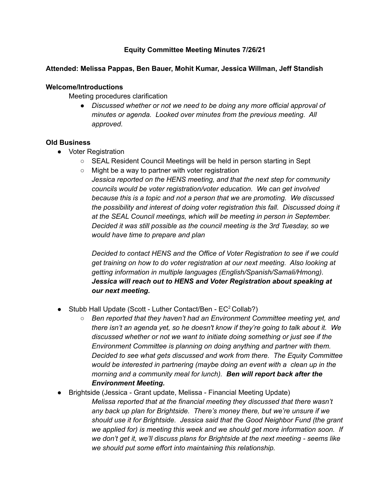# **Equity Committee Meeting Minutes 7/26/21**

#### **Attended: Melissa Pappas, Ben Bauer, Mohit Kumar, Jessica Willman, Jeff Standish**

#### **Welcome/Introductions**

Meeting procedures clarification

*● Discussed whether or not we need to be doing any more official approval of minutes or agenda. Looked over minutes from the previous meeting. All approved.*

#### **Old Business**

- Voter Registration
	- SEAL Resident Council Meetings will be held in person starting in Sept
	- $\circ$  Might be a way to partner with voter registration

*Jessica reported on the HENS meeting, and that the next step for community councils would be voter registration/voter education. We can get involved because this is a topic and not a person that we are promoting. We discussed the possibility and interest of doing voter registration this fall. Discussed doing it at the SEAL Council meetings, which will be meeting in person in September. Decided it was still possible as the council meeting is the 3rd Tuesday, so we would have time to prepare and plan*

*Decided to contact HENS and the Office of Voter Registration to see if we could get training on how to do voter registration at our next meeting. Also looking at getting information in multiple languages (English/Spanish/Samali/Hmong). Jessica will reach out to HENS and Voter Registration about speaking at our next meeting.*

- Stubb Hall Update (Scott Luther Contact/Ben  $EC^2$  Collab?)
	- *○ Ben reported that they haven't had an Environment Committee meeting yet, and there isn't an agenda yet, so he doesn't know if they're going to talk about it. We discussed whether or not we want to initiate doing something or just see if the Environment Committee is planning on doing anything and partner with them. Decided to see what gets discussed and work from there. The Equity Committee would be interested in partnering (maybe doing an event with a clean up in the morning and a community meal for lunch). Ben will report back after the Environment Meeting.*
- Brightside (Jessica Grant update, Melissa Financial Meeting Update)
	- *Melissa reported that at the financial meeting they discussed that there wasn't any back up plan for Brightside. There's money there, but we're unsure if we should use it for Brightside. Jessica said that the Good Neighbor Fund (the grant we applied for) is meeting this week and we should get more information soon. If we don't get it, we'll discuss plans for Brightside at the next meeting - seems like we should put some effort into maintaining this relationship.*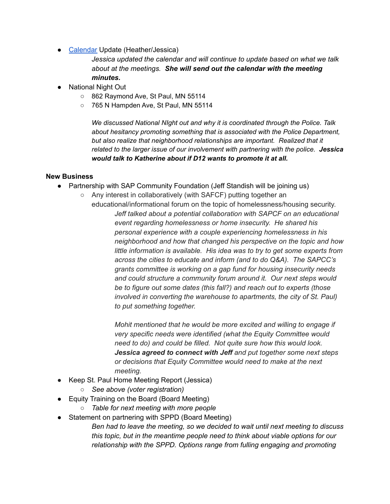• [Calendar](https://docs.google.com/document/d/1eUr9qsb2LzFPljhUnyKqXYvyrNXsFIvEvdXH1eY9eKw/edit) Update (Heather/Jessica)

*Jessica updated the calendar and will continue to update based on what we talk about at the meetings. She will send out the calendar with the meeting minutes.*

- National Night Out
	- 862 Raymond Ave, St Paul, MN 55114
	- 765 N Hampden Ave, St Paul, MN 55114

*We discussed National NIght out and why it is coordinated through the Police. Talk about hesitancy promoting something that is associated with the Police Department, but also realize that neighborhood relationships are important. Realized that it related to the larger issue of our involvement with partnering with the police. Jessica would talk to Katherine about if D12 wants to promote it at all.*

### **New Business**

- Partnership with SAP Community Foundation (Jeff Standish will be joining us)
	- Any interest in collaboratively (with SAFCF) putting together an educational/informational forum on the topic of homelessness/housing security. *Jeff talked about a potential collaboration with SAPCF on an educational event regarding homelessness or home insecurity. He shared his personal experience with a couple experiencing homelessness in his neighborhood and how that changed his perspective on the topic and how little information is available. His idea was to try to get some experts from across the cities to educate and inform (and to do Q&A). The SAPCC's grants committee is working on a gap fund for housing insecurity needs and could structure a community forum around it. Our next steps would be to figure out some dates (this fall?) and reach out to experts (those involved in converting the warehouse to apartments, the city of St. Paul) to put something together.*

*Mohit mentioned that he would be more excited and willing to engage if very specific needs were identified (what the Equity Committee would need to do) and could be filled. Not quite sure how this would look. Jessica agreed to connect with Jeff and put together some next steps or decisions that Equity Committee would need to make at the next meeting.*

- Keep St. Paul Home Meeting Report (Jessica)
	- *○ See above (voter registration)*
- Equity Training on the Board (Board Meeting)
	- *○ Table for next meeting with more people*
- Statement on partnering with SPPD (Board Meeting)

*Ben had to leave the meeting, so we decided to wait until next meeting to discuss this topic, but in the meantime people need to think about viable options for our relationship with the SPPD. Options range from fulling engaging and promoting*